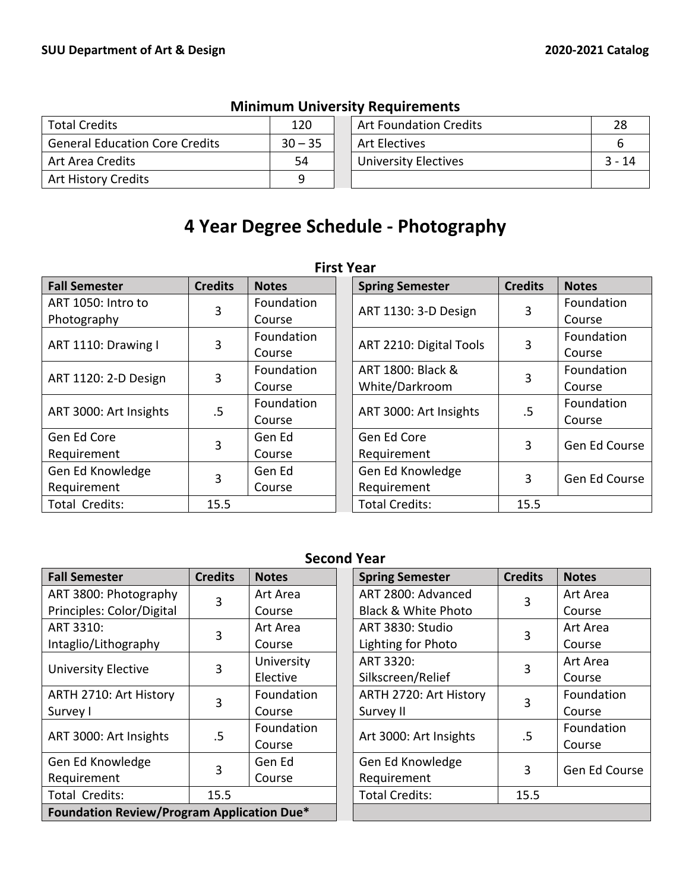| <b>Total Credits</b>                  | 120       | <b>Art Foundation Credits</b> |          |
|---------------------------------------|-----------|-------------------------------|----------|
| <b>General Education Core Credits</b> | $30 - 35$ | <b>Art Electives</b>          |          |
| Art Area Credits                      | 54        | <b>University Electives</b>   | $3 - 14$ |
| <b>Art History Credits</b>            |           |                               |          |

## **Minimum University Requirements**

# **4 Year Degree Schedule - Photography**

| .                      |                |              |             |                                     |                |               |  |
|------------------------|----------------|--------------|-------------|-------------------------------------|----------------|---------------|--|
| <b>Fall Semester</b>   | <b>Credits</b> | <b>Notes</b> |             | <b>Spring Semester</b>              | <b>Credits</b> | <b>Notes</b>  |  |
| ART 1050: Intro to     | 3              | Foundation   |             | ART 1130: 3-D Design                | 3              | Foundation    |  |
| Photography            |                | Course       |             |                                     |                | Course        |  |
| ART 1110: Drawing I    | 3              | Foundation   |             | ART 2210: Digital Tools             | 3              | Foundation    |  |
|                        |                | Course       |             |                                     |                | Course        |  |
| ART 1120: 2-D Design   | 3              | Foundation   |             | ART 1800: Black &<br>White/Darkroom | 3              | Foundation    |  |
|                        |                | Course       |             |                                     |                | Course        |  |
| ART 3000: Art Insights | .5             | Foundation   |             | ART 3000: Art Insights              | .5             | Foundation    |  |
|                        |                | Course       |             |                                     |                | Course        |  |
| Gen Ed Core            | 3              | Gen Ed       |             | Gen Ed Core                         | 3              | Gen Ed Course |  |
| Requirement            |                | Course       |             | Requirement                         |                |               |  |
| Gen Ed Knowledge       |                | Gen Ed       |             | Gen Ed Knowledge                    | 3              | Gen Ed Course |  |
| Requirement            | 3              | Course       | Requirement |                                     |                |               |  |
| Total Credits:         | 15.5           |              |             | <b>Total Credits:</b>               | 15.5           |               |  |

#### **First Year**

# **Second Year**

| <b>Fall Semester</b>                              | <b>Credits</b> | <b>Notes</b> |  | <b>Spring Semester</b>          | <b>Credits</b> | <b>Notes</b>  |
|---------------------------------------------------|----------------|--------------|--|---------------------------------|----------------|---------------|
| ART 3800: Photography                             | 3              | Art Area     |  | ART 2800: Advanced              | 3              | Art Area      |
| Principles: Color/Digital                         |                | Course       |  | <b>Black &amp; White Photo</b>  |                | Course        |
| ART 3310:                                         | 3              | Art Area     |  | ART 3830: Studio                | 3              | Art Area      |
| Intaglio/Lithography                              |                | Course       |  | Lighting for Photo              |                | Course        |
| <b>University Elective</b>                        | 3              | University   |  | ART 3320:                       | 3              | Art Area      |
|                                                   |                | Elective     |  | Silkscreen/Relief               |                | Course        |
| ARTH 2710: Art History                            | 3              | Foundation   |  | ARTH 2720: Art History          | 3              | Foundation    |
| Survey I                                          |                | Course       |  | Survey II                       |                | Course        |
| ART 3000: Art Insights                            | .5             | Foundation   |  | Art 3000: Art Insights          | .5             | Foundation    |
|                                                   |                | Course       |  |                                 |                | Course        |
| Gen Ed Knowledge                                  | 3              | Gen Ed       |  | Gen Ed Knowledge<br>Requirement | 3              |               |
| Requirement                                       |                | Course       |  |                                 |                | Gen Ed Course |
| Total Credits:                                    | 15.5           |              |  | <b>Total Credits:</b>           | 15.5           |               |
| <b>Foundation Review/Program Application Due*</b> |                |              |  |                                 |                |               |